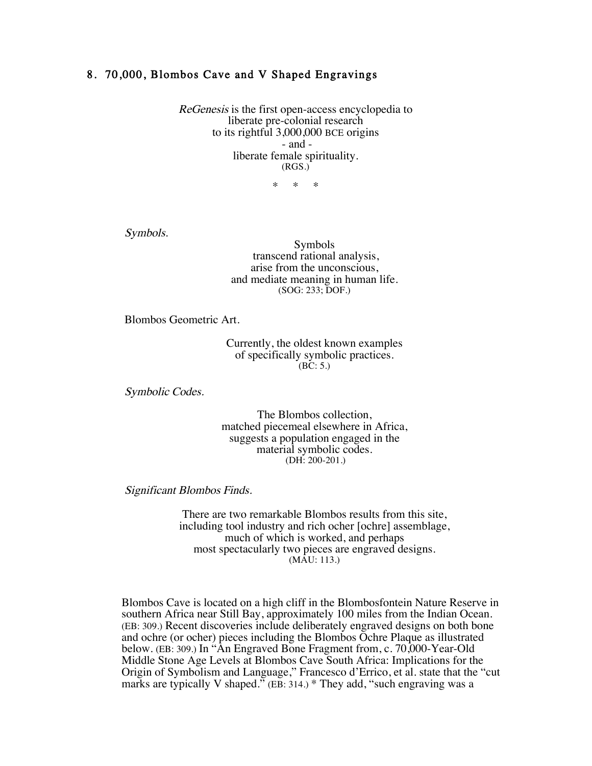## 8. 70,000, Blombos Cave and V Shaped Engravings

ReGenesis is the first open-access encyclopedia to liberate pre-colonial research to its rightful 3,000,000 BCE origins - and liberate female spirituality. (RGS.)

\* \* \*

Symbols.

Symbols transcend rational analysis, arise from the unconscious, and mediate meaning in human life. (SOG: 233; DOF.)

Blombos Geometric Art.

Currently, the oldest known examples of specifically symbolic practices.  $(BC: 5.)$ 

Symbolic Codes.

The Blombos collection, matched piecemeal elsewhere in Africa, suggests a population engaged in the material symbolic codes. (DH: 200-201.)

Significant Blombos Finds.

There are two remarkable Blombos results from this site, including tool industry and rich ocher [ochre] assemblage, much of which is worked, and perhaps most spectacularly two pieces are engraved designs. (MAU: 113.)

Blombos Cave is located on a high cliff in the Blombosfontein Nature Reserve in southern Africa near Still Bay, approximately 100 miles from the Indian Ocean. (EB: 309.) Recent discoveries include deliberately engraved designs on both bone and ochre (or ocher) pieces including the Blombos Ochre Plaque as illustrated below. (EB: 309.) In "An Engraved Bone Fragment from, c. 70,000-Year-Old Middle Stone Age Levels at Blombos Cave South Africa: Implications for the Origin of Symbolism and Language," Francesco d'Errico, et al. state that the "cut marks are typically V shaped." (EB: 314.) \* They add, "such engraving was a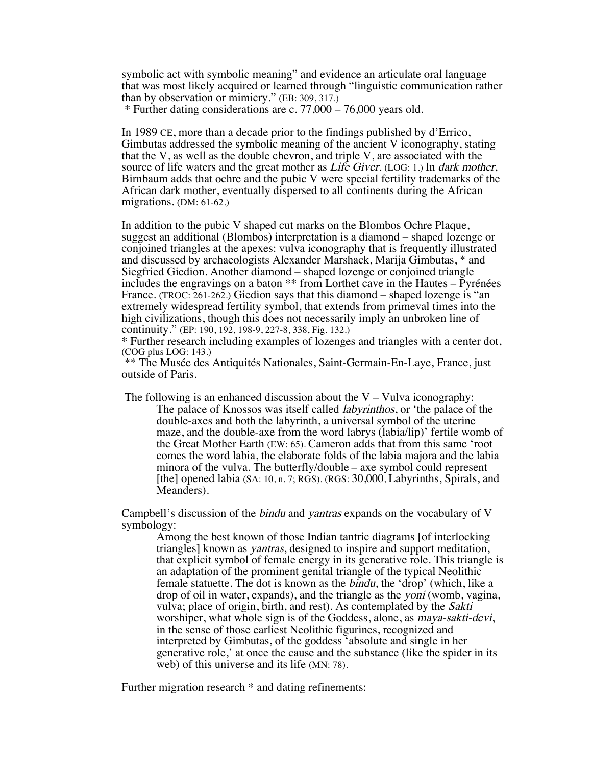symbolic act with symbolic meaning" and evidence an articulate oral language that was most likely acquired or learned through "linguistic communication rather than by observation or mimicry." (EB: 309, 317.)

\* Further dating considerations are c. 77,000 – 76,000 years old.

In 1989 CE, more than a decade prior to the findings published by d'Errico, Gimbutas addressed the symbolic meaning of the ancient V iconography, stating that the V, as well as the double chevron, and triple V, are associated with the source of life waters and the great mother as Life Giver. (LOG: 1.) In dark mother, Birnbaum adds that ochre and the pubic V were special fertility trademarks of the African dark mother, eventually dispersed to all continents during the African migrations. (DM: 61-62.)

In addition to the pubic V shaped cut marks on the Blombos Ochre Plaque, suggest an additional (Blombos) interpretation is a diamond – shaped lozenge or conjoined triangles at the apexes: vulva iconography that is frequently illustrated and discussed by archaeologists Alexander Marshack, Marija Gimbutas, \* and Siegfried Giedion. Another diamond – shaped lozenge or conjoined triangle includes the engravings on a baton \*\* from Lorthet cave in the Hautes – Pyrénées France. (TROC: 261-262.) Giedion says that this diamond – shaped lozenge is "an extremely widespread fertility symbol, that extends from primeval times into the high civilizations, though this does not necessarily imply an unbroken line of continuity." (EP: 190, 192, 198-9, 227-8, 338, Fig. 132.)

\* Further research including examples of lozenges and triangles with a center dot, (COG plus LOG: 143.)

\*\* The Musée des Antiquités Nationales, Saint-Germain-En-Laye, France, just outside of Paris.

The following is an enhanced discussion about the  $V -$ Vulva iconography: The palace of Knossos was itself called labyrinthos, or 'the palace of the double-axes and both the labyrinth, a universal symbol of the uterine maze, and the double-axe from the word labrys (labia/lip)' fertile womb of the Great Mother Earth (EW: 65). Cameron adds that from this same 'root comes the word labia, the elaborate folds of the labia majora and the labia minora of the vulva. The butterfly/double – axe symbol could represent [the] opened labia (SA: 10, n. 7; RGS). (RGS: 30,000, Labyrinths, Spirals, and Meanders).

Campbell's discussion of the bindu and yantras expands on the vocabulary of V symbology:

Among the best known of those Indian tantric diagrams [of interlocking triangles] known as yantras, designed to inspire and support meditation, that explicit symbol of female energy in its generative role. This triangle is an adaptation of the prominent genital triangle of the typical Neolithic female statuette. The dot is known as the bindu, the 'drop' (which, like a drop of oil in water, expands), and the triangle as the *yoni* (womb, vagina, vulva; place of origin, birth, and rest). As contemplated by the Sakti worshiper, what whole sign is of the Goddess, alone, as maya-sakti-devi, in the sense of those earliest Neolithic figurines, recognized and interpreted by Gimbutas, of the goddess 'absolute and single in her generative role,' at once the cause and the substance (like the spider in its web) of this universe and its life (MN: 78).

Further migration research \* and dating refinements: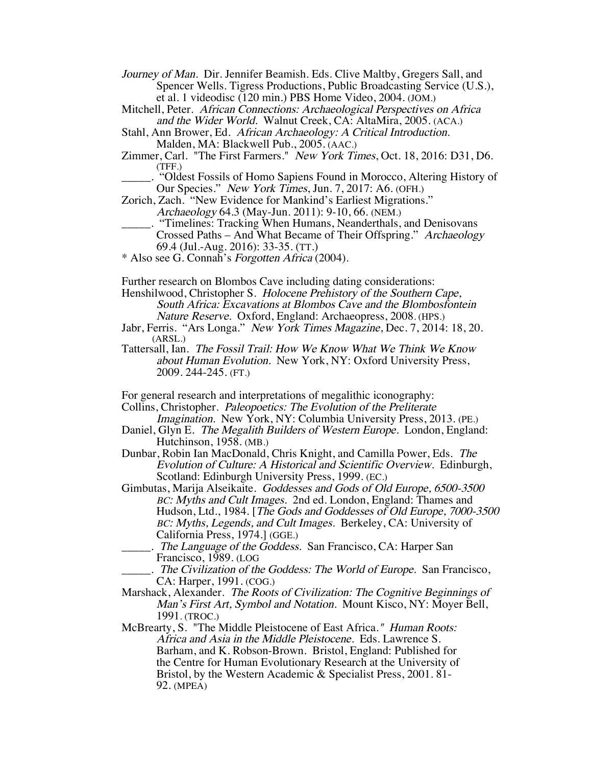- Journey of Man. Dir. Jennifer Beamish. Eds. Clive Maltby, Gregers Sall, and Spencer Wells. Tigress Productions, Public Broadcasting Service (U.S.), et al. 1 videodisc (120 min.) PBS Home Video, 2004. (JOM.)
- Mitchell, Peter. African Connections: Archaeological Perspectives on Africa and the Wider World. Walnut Creek, CA: AltaMira, 2005. (ACA.)
- Stahl, Ann Brower, Ed. African Archaeology: A Critical Introduction. Malden, MA: Blackwell Pub., 2005. (AAC.)
- Zimmer, Carl. "The First Farmers." New York Times, Oct. 18, 2016: D31, D6. (TFF.)
- \_\_\_\_\_. "Oldest Fossils of Homo Sapiens Found in Morocco, Altering History of Our Species." New York Times, Jun. 7, 2017: A6. (OFH.)
- Zorich, Zach. "New Evidence for Mankind's Earliest Migrations." Archaeology 64.3 (May-Jun. 2011): 9-10, 66. (NEM.)
- \_\_\_\_\_. "Timelines: Tracking When Humans, Neanderthals, and Denisovans Crossed Paths – And What Became of Their Offspring." Archaeology 69.4 (Jul.-Aug. 2016): 33-35. (TT.)
- \* Also see G. Connah's Forgotten Africa (2004).

Further research on Blombos Cave including dating considerations:

- Henshilwood, Christopher S. Holocene Prehistory of the Southern Cape, South Africa: Excavations at Blombos Cave and the Blombosfontein Nature Reserve. Oxford, England: Archaeopress, 2008. (HPS.)
- Jabr, Ferris. "Ars Longa." New York Times Magazine, Dec. 7, 2014: 18, 20. (ARSL.)
- Tattersall, Ian. The Fossil Trail: How We Know What We Think We Know about Human Evolution. New York, NY: Oxford University Press, 2009. 244-245. (FT.)

For general research and interpretations of megalithic iconography:

- Collins, Christopher. Paleopoetics: The Evolution of the Preliterate Imagination. New York, NY: Columbia University Press, 2013. (PE.)
- Daniel, Glyn E. The Megalith Builders of Western Europe. London, England: Hutchinson, 1958. (MB.)
- Dunbar, Robin Ian MacDonald, Chris Knight, and Camilla Power, Eds. The Evolution of Culture: A Historical and Scientific Overview. Edinburgh, Scotland: Edinburgh University Press, 1999. (EC.)
- Gimbutas, Marija Alseikaite. Goddesses and Gods of Old Europe, 6500-3500 BC: Myths and Cult Images. 2nd ed. London, England: Thames and Hudson, Ltd., 1984. [The Gods and Goddesses of Old Europe, 7000-3500 BC: Myths, Legends, and Cult Images. Berkeley, CA: University of California Press, 1974.] (GGE.)
- . The Language of the Goddess. San Francisco, CA: Harper San Francisco, 1989. (LOG
	- The Civilization of the Goddess: The World of Europe. San Francisco, CA: Harper, 1991. (COG.)
- Marshack, Alexander. The Roots of Civilization: The Cognitive Beginnings of Man's First Art, Symbol and Notation. Mount Kisco, NY: Moyer Bell, 1991. (TROC.)
- McBrearty, S. "The Middle Pleistocene of East Africa." Human Roots: Africa and Asia in the Middle Pleistocene. Eds. Lawrence S. Barham, and K. Robson-Brown. Bristol, England: Published for the Centre for Human Evolutionary Research at the University of Bristol, by the Western Academic & Specialist Press, 2001. 81- 92. (MPEA)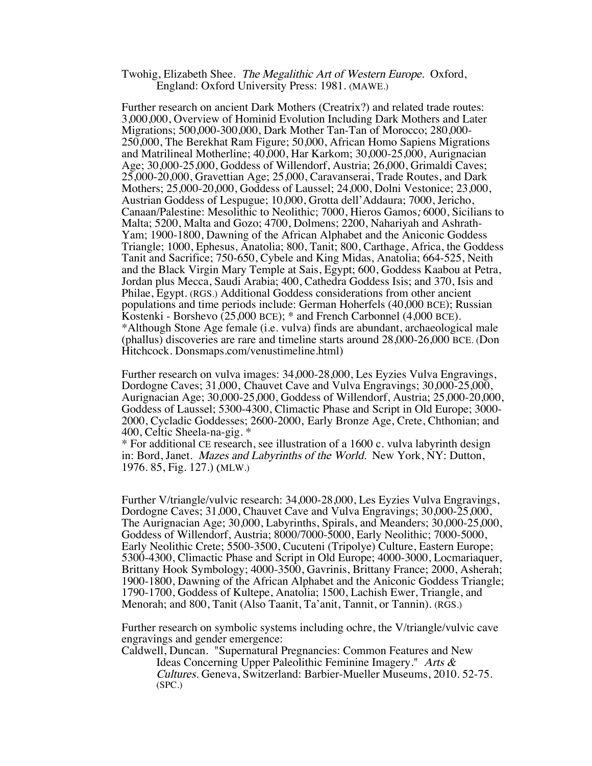## Twohig, Elizabeth Shee. The Megalithic Art of Western Europe. Oxford, England: Oxford University Press: 1981. (MAWE.)

Further research on ancient Dark Mothers (Creatrix?) and related trade routes: 3,000,000, Overview of Hominid Evolution Including Dark Mothers and Later Migrations; 500,000-300,000, Dark Mother Tan-Tan of Morocco; 280,000- 250,000, The Berekhat Ram Figure; 50,000, African Homo Sapiens Migrations and Matrilineal Motherline; 40,000, Har Karkom; 30,000-25,000, Aurignacian Age; 30,000-25,000, Goddess of Willendorf, Austria; 26,000, Grimaldi Caves; 25,000-20,000, Gravettian Age; 25,000, Caravanserai, Trade Routes, and Dark Mothers; 25,000-20,000, Goddess of Laussel; 24,000, Dolni Vestonice; 23,000, Austrian Goddess of Lespugue; 10,000, Grotta dell'Addaura; 7000, Jericho, Canaan/Palestine: Mesolithic to Neolithic; 7000, Hieros Gamos; 6000, Sicilians to Malta; 5200, Malta and Gozo; 4700, Dolmens; 2200, Nahariyah and Ashrath-Yam; 1900-1800, Dawning of the African Alphabet and the Aniconic Goddess Triangle; 1000, Ephesus, Anatolia; 800, Tanit; 800, Carthage, Africa, the Goddess Tanit and Sacrifice; 750-650, Cybele and King Midas, Anatolia; 664-525, Neith and the Black Virgin Mary Temple at Sais, Egypt; 600, Goddess Kaabou at Petra, Jordan plus Mecca, Saudi Arabia; 400, Cathedra Goddess Isis; and 370, Isis and Philae, Egypt. (RGS.) Additional Goddess considerations from other ancient populations and time periods include: German Hoherfels (40,000 BCE); Russian Kostenki - Borshevo (25,000 BCE); \* and French Carbonnel (4,000 BCE). \*Although Stone Age female (i.e. vulva) finds are abundant, archaeological male (phallus) discoveries are rare and timeline starts around 28,000-26,000 BCE. (Don Hitchcock. Donsmaps.com/venustimeline.html)

Further research on vulva images: 34,000-28,000, Les Eyzies Vulva Engravings, Dordogne Caves; 31,000, Chauvet Cave and Vulva Engravings; 30,000-25,000, Aurignacian Age; 30,000-25,000, Goddess of Willendorf, Austria; 25,000-20,000, Goddess of Laussel; 5300-4300, Climactic Phase and Script in Old Europe; 3000- 2000, Cycladic Goddesses; 2600-2000, Early Bronze Age, Crete, Chthonian; and 400, Celtic Sheela-na-gig. \*

\* For additional CE research, see illustration of a 1600 c. vulva labyrinth design in: Bord, Janet. *Mazes and Labyrinths of the World*. New York, NY: Dutton, 1976. 85, Fig. 127.) (MLW.)

Further V/triangle/vulvic research: 34,000-28,000, Les Eyzies Vulva Engravings, Dordogne Caves; 31,000, Chauvet Cave and Vulva Engravings; 30,000-25,000, The Aurignacian Age; 30,000, Labyrinths, Spirals, and Meanders; 30,000-25,000, Goddess of Willendorf, Austria; 8000/7000-5000, Early Neolithic; 7000-5000, Early Neolithic Crete; 5500-3500, Cucuteni (Tripolye) Culture, Eastern Europe; 5300-4300, Climactic Phase and Script in Old Europe; 4000-3000, Locmariaquer, Brittany Hook Symbology; 4000-3500, Gavrinis, Brittany France; 2000, Asherah; 1900-1800, Dawning of the African Alphabet and the Aniconic Goddess Triangle; 1790-1700, Goddess of Kultepe, Anatolia; 1500, Lachish Ewer, Triangle, and Menorah; and 800, Tanit (Also Taanit, Ta'anit, Tannit, or Tannin). (RGS.)

Further research on symbolic systems including ochre, the V/triangle/vulvic cave engravings and gender emergence:

Caldwell, Duncan. "Supernatural Pregnancies: Common Features and New Ideas Concerning Upper Paleolithic Feminine Imagery." Arts &

Cultures. Geneva, Switzerland: Barbier-Mueller Museums, 2010. 52-75. (SPC.)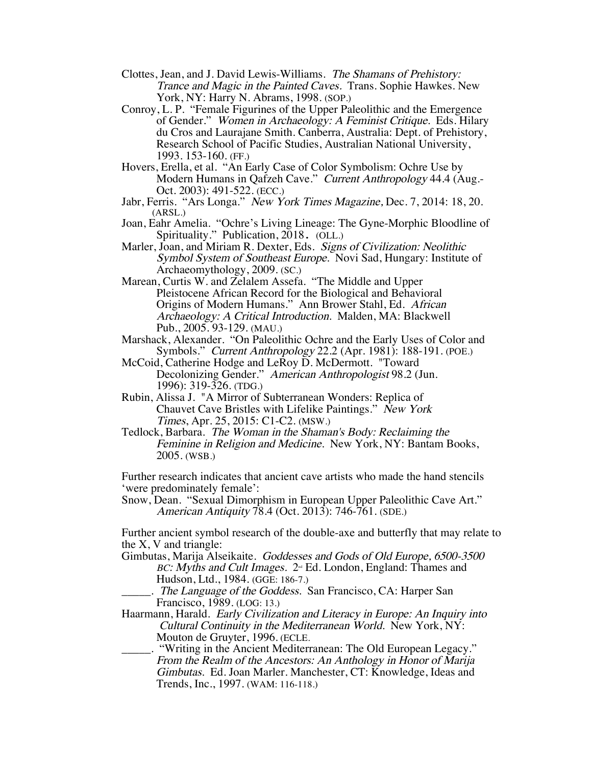- Clottes, Jean, and J. David Lewis-Williams. The Shamans of Prehistory: Trance and Magic in the Painted Caves. Trans. Sophie Hawkes. New York, NY: Harry N. Abrams, 1998. (SOP.)
- Conroy, L. P. "Female Figurines of the Upper Paleolithic and the Emergence of Gender." Women in Archaeology: A Feminist Critique. Eds. Hilary du Cros and Laurajane Smith. Canberra, Australia: Dept. of Prehistory, Research School of Pacific Studies, Australian National University, 1993. 153-160. (FF.)
- Hovers, Erella, et al. "An Early Case of Color Symbolism: Ochre Use by Modern Humans in Qafzeh Cave." Current Anthropology 44.4 (Aug.- Oct. 2003): 491-522. (ECC.)
- Jabr, Ferris. "Ars Longa." New York Times Magazine, Dec. 7, 2014: 18, 20. (ARSL.)
- Joan, Eahr Amelia. "Ochre's Living Lineage: The Gyne-Morphic Bloodline of Spirituality." Publication, 2018. (OLL.)
- Marler, Joan, and Miriam R. Dexter, Eds. Signs of Civilization: Neolithic Symbol System of Southeast Europe. Novi Sad, Hungary: Institute of Archaeomythology, 2009. (SC.)
- Marean, Curtis W. and Zelalem Assefa. "The Middle and Upper Pleistocene African Record for the Biological and Behavioral Origins of Modern Humans." Ann Brower Stahl, Ed. African Archaeology: A Critical Introduction. Malden, MA: Blackwell Pub., 2005. 93-129. (MAU.)
- Marshack, Alexander. "On Paleolithic Ochre and the Early Uses of Color and Symbols." Current Anthropology 22.2 (Apr. 1981): 188-191. (POE.)
- McCoid, Catherine Hodge and LeRoy D. McDermott. "Toward Decolonizing Gender." American Anthropologist 98.2 (Jun. 1996): 319-326. (TDG.)
- Rubin, Alissa J. "A Mirror of Subterranean Wonders: Replica of Chauvet Cave Bristles with Lifelike Paintings." New York Times, Apr. 25, 2015: C1-C2. (MSW.)
- Tedlock, Barbara. The Woman in the Shaman's Body: Reclaiming the Feminine in Religion and Medicine. New York, NY: Bantam Books, 2005. (WSB.)

Further research indicates that ancient cave artists who made the hand stencils 'were predominately female':

Snow, Dean. "Sexual Dimorphism in European Upper Paleolithic Cave Art." American Antiquity 78.4 (Oct. 2013): 746-761. (SDE.)

Further ancient symbol research of the double-axe and butterfly that may relate to the X, V and triangle:

Gimbutas, Marija Alseikaite. Goddesses and Gods of Old Europe, 6500-3500 BC: Myths and Cult Images. 2<sup>nd</sup> Ed. London, England: Thames and Hudson, Ltd., 1984. (GGE: 186-7.)

. The Language of the Goddess. San Francisco, CA: Harper San Francisco, 1989. (LOG: 13.)

Haarmann, Harald. Early Civilization and Literacy in Europe: An Inquiry into Cultural Continuity in the Mediterranean World. New York, NY: Mouton de Gruyter, 1996. (ECLE.

\_\_\_\_\_. "Writing in the Ancient Mediterranean: The Old European Legacy." From the Realm of the Ancestors: An Anthology in Honor of Marija Gimbutas. Ed. Joan Marler. Manchester, CT: Knowledge, Ideas and Trends, Inc., 1997. (WAM: 116-118.)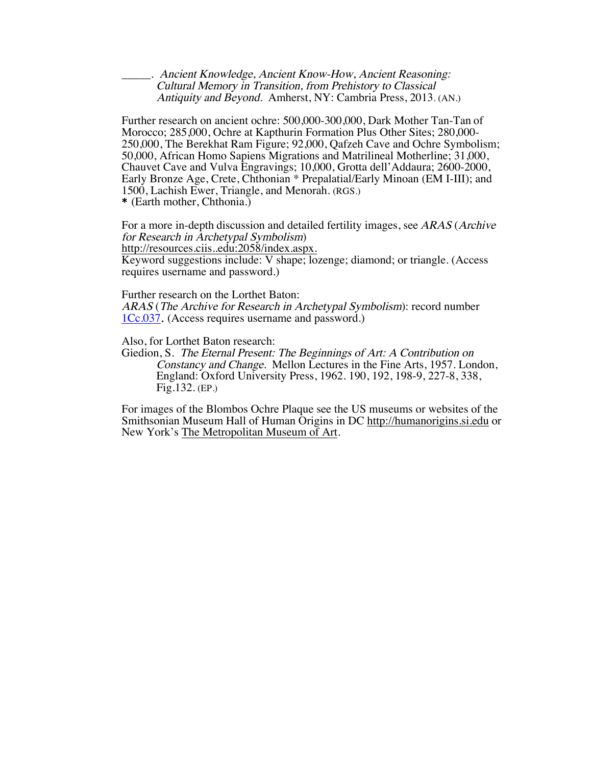\_\_\_\_\_. Ancient Knowledge, Ancient Know-How, Ancient Reasoning: Cultural Memory in Transition, from Prehistory to Classical Antiquity and Beyond. Amherst, NY: Cambria Press, 2013. (AN.)

Further research on ancient ochre: 500,000-300,000, Dark Mother Tan-Tan of Morocco; 285,000, Ochre at Kapthurin Formation Plus Other Sites; 280,000- 250,000, The Berekhat Ram Figure; 92,000, Qafzeh Cave and Ochre Symbolism; 50,000, African Homo Sapiens Migrations and Matrilineal Motherline; 31,000, Chauvet Cave and Vulva Engravings; 10,000, Grotta dell'Addaura; 2600-2000, Early Bronze Age, Crete, Chthonian \* Prepalatial/Early Minoan (EM I-III); and 1500, Lachish Ewer, Triangle, and Menorah. (RGS.)

\* (Earth mother, Chthonia.)

For a more in-depth discussion and detailed fertility images, see ARAS (Archive for Research in Archetypal Symbolism)

http://resources.ciis..edu:2058/index.aspx.

Keyword suggestions include: V shape; lozenge; diamond; or triangle. (Access requires username and password.)

Further research on the Lorthet Baton:

ARAS (The Archive for Research in Archetypal Symbolism): record number 1Cc.037. (Access requires username and password.)

Also, for Lorthet Baton research:

Giedion, S. The Eternal Present: The Beginnings of Art: A Contribution on Constancy and Change. Mellon Lectures in the Fine Arts, 1957. London, England: Oxford University Press, 1962. 190, 192, 198-9, 227-8, 338, Fig.132. (EP.)

For images of the Blombos Ochre Plaque see the US museums or websites of the Smithsonian Museum Hall of Human Origins in DC http://humanorigins.si.edu or New York's The Metropolitan Museum of Art.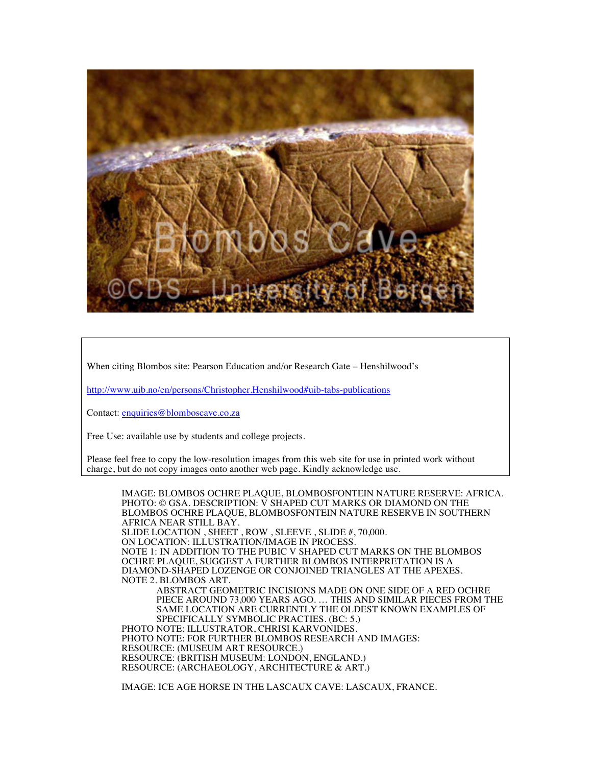

When citing Blombos site: Pearson Education and/or Research Gate – Henshilwood's

http://www.uib.no/en/persons/Christopher.Henshilwood#uib-tabs-publications

Contact: enquiries@blomboscave.co.za

Free Use: available use by students and college projects.

Please feel free to copy the low-resolution images from this web site for use in printed work without charge, but do not copy images onto another web page. Kindly acknowledge use.

IMAGE: BLOMBOS OCHRE PLAQUE, BLOMBOSFONTEIN NATURE RESERVE: AFRICA. PHOTO: © GSA. DESCRIPTION: V SHAPED CUT MARKS OR DIAMOND ON THE BLOMBOS OCHRE PLAQUE, BLOMBOSFONTEIN NATURE RESERVE IN SOUTHERN AFRICA NEAR STILL BAY. SLIDE LOCATION , SHEET , ROW , SLEEVE , SLIDE #, 70,000. ON LOCATION: ILLUSTRATION/IMAGE IN PROCESS. NOTE 1: IN ADDITION TO THE PUBIC V SHAPED CUT MARKS ON THE BLOMBOS OCHRE PLAQUE, SUGGEST A FURTHER BLOMBOS INTERPRETATION IS A DIAMOND-SHAPED LOZENGE OR CONJOINED TRIANGLES AT THE APEXES. NOTE 2. BLOMBOS ART. ABSTRACT GEOMETRIC INCISIONS MADE ON ONE SIDE OF A RED OCHRE PIECE AROUND 73,000 YEARS AGO. … THIS AND SIMILAR PIECES FROM THE SAME LOCATION ARE CURRENTLY THE OLDEST KNOWN EXAMPLES OF SPECIFICALLY SYMBOLIC PRACTIES. (BC: 5.) PHOTO NOTE: ILLUSTRATOR, CHRISI KARVONIDES. PHOTO NOTE: FOR FURTHER BLOMBOS RESEARCH AND IMAGES: RESOURCE: (MUSEUM ART RESOURCE.) RESOURCE: (BRITISH MUSEUM: LONDON, ENGLAND.) RESOURCE: (ARCHAEOLOGY, ARCHITECTURE & ART.)

IMAGE: ICE AGE HORSE IN THE LASCAUX CAVE: LASCAUX, FRANCE.